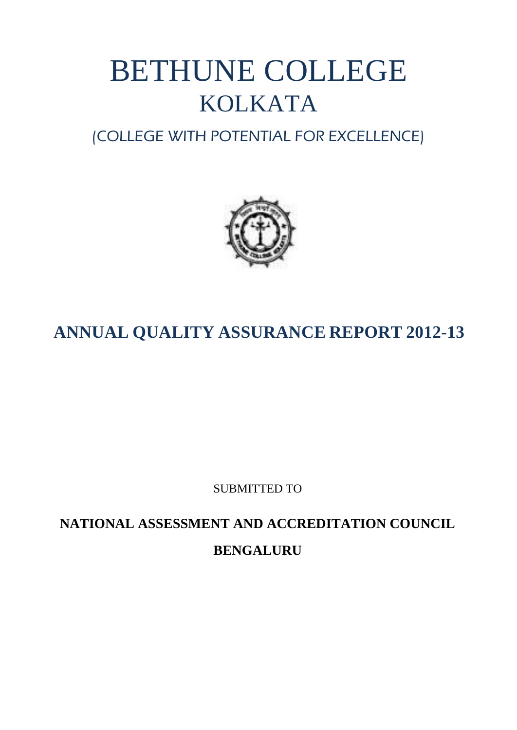# BETHUNE COLLEGE KOLKATA

# (COLLEGE WITH POTENTIAL FOR EXCELLENCE)



# **ANNUAL QUALITY ASSURANCE REPORT 2012-13**

SUBMITTED TO

**NATIONAL ASSESSMENT AND ACCREDITATION COUNCIL BENGALURU**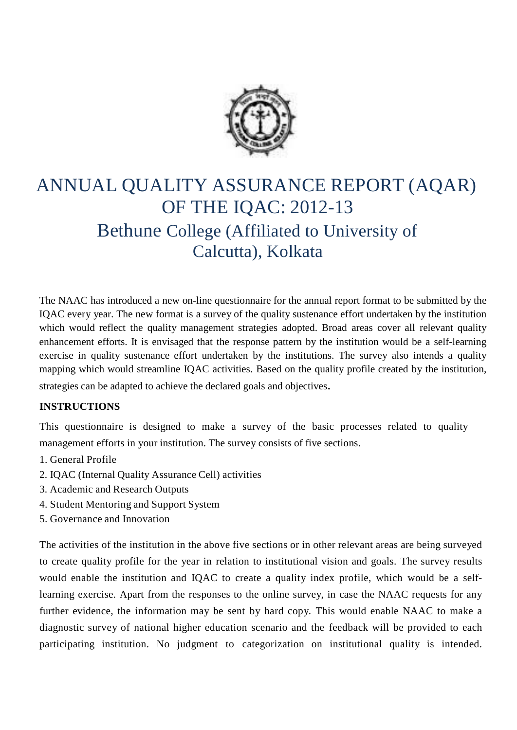

# ANNUAL QUALITY ASSURANCE REPORT (AQAR) OF THE IQAC: 2012-13 Bethune College (Affiliated to University of Calcutta), Kolkata

The NAAC has introduced a new on-line questionnaire for the annual report format to be submitted by the IQAC every year. The new format is a survey of the quality sustenance effort undertaken by the institution which would reflect the quality management strategies adopted. Broad areas cover all relevant quality enhancement efforts. It is envisaged that the response pattern by the institution would be a self-learning exercise in quality sustenance effort undertaken by the institutions. The survey also intends a quality mapping which would streamline IQAC activities. Based on the quality profile created by the institution, strategies can be adapted to achieve the declared goals and objectives.

#### **INSTRUCTIONS**

This questionnaire is designed to make a survey of the basic processes related to quality management efforts in your institution. The survey consists of five sections.

- 1. General Profile
- 2. IQAC (Internal Quality Assurance Cell) activities
- 3. Academic and Research Outputs
- 4. Student Mentoring and Support System
- 5. Governance and Innovation

The activities of the institution in the above five sections or in other relevant areas are being surveyed to create quality profile for the year in relation to institutional vision and goals. The survey results would enable the institution and IQAC to create a quality index profile, which would be a selflearning exercise. Apart from the responses to the online survey, in case the NAAC requests for any further evidence, the information may be sent by hard copy*.* This would enable NAAC to make a diagnostic survey of national higher education scenario and the feedback will be provided to each participating institution. No judgment to categorization on institutional quality is intended.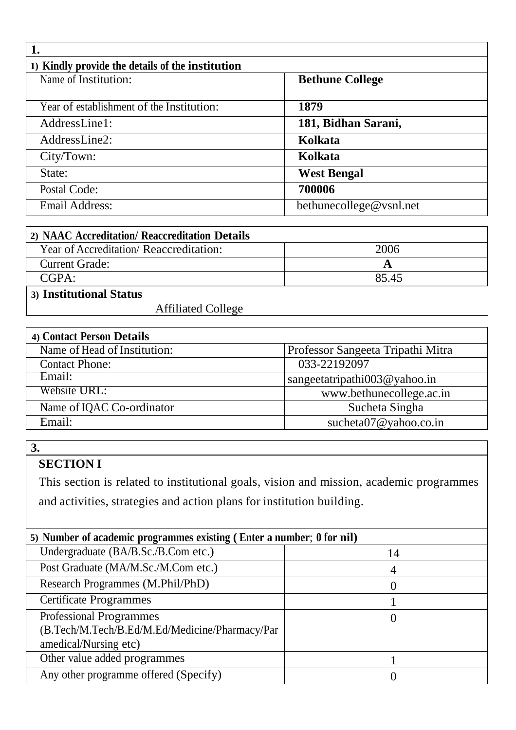| 1) Kindly provide the details of the institution |                         |  |
|--------------------------------------------------|-------------------------|--|
| Name of Institution:                             | <b>Bethune College</b>  |  |
|                                                  |                         |  |
| Year of establishment of the Institution:        | 1879                    |  |
| AddressLine1:                                    | 181, Bidhan Sarani,     |  |
| AddressLine2:                                    | Kolkata                 |  |
| City/Town:                                       | Kolkata                 |  |
| State:                                           | <b>West Bengal</b>      |  |
| Postal Code:                                     | 700006                  |  |
| <b>Email Address:</b>                            | bethunecollege@vsnl.net |  |

| 2) NAAC Accreditation/ Reaccreditation Details |       |
|------------------------------------------------|-------|
| Year of Accreditation/ Reaccreditation:        | 2006  |
| <b>Current Grade:</b>                          |       |
| CGPA:                                          | 85.45 |
| 3) Institutional Status                        |       |
| <b>Affiliated College</b>                      |       |

| 4) Contact Person Details    |                                   |
|------------------------------|-----------------------------------|
| Name of Head of Institution: | Professor Sangeeta Tripathi Mitra |
| <b>Contact Phone:</b>        | 033-22192097                      |
| Email:                       | sangeetatripathi003@yahoo.in      |
| Website URL:                 | www.bethunecollege.ac.in          |
| Name of IQAC Co-ordinator    | Sucheta Singha                    |
| Email:                       | sucheta $07@$ yahoo.co.in         |

# **SECTION I**

This section is related to institutional goals, vision and mission, academic programmes and activities, strategies and action plans for institution building.

| 5) Number of academic programmes existing (Enter a number; 0 for nil)                                     |    |
|-----------------------------------------------------------------------------------------------------------|----|
| Undergraduate (BA/B.Sc./B.Com etc.)                                                                       | 14 |
| Post Graduate (MA/M.Sc./M.Com etc.)                                                                       |    |
| Research Programmes (M.Phil/PhD)                                                                          |    |
| <b>Certificate Programmes</b>                                                                             |    |
| <b>Professional Programmes</b><br>(B.Tech/M.Tech/B.Ed/M.Ed/Medicine/Pharmacy/Par<br>amedical/Nursing etc) |    |
| Other value added programmes                                                                              |    |
| Any other programme offered (Specify)                                                                     |    |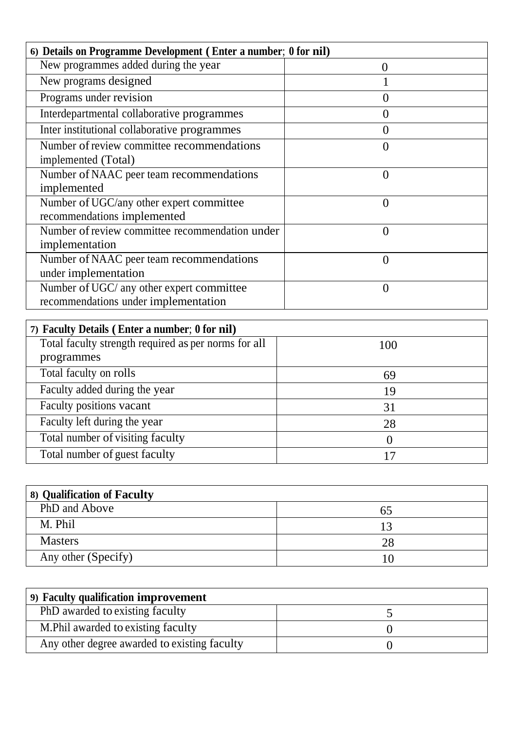| 6) Details on Programme Development (Enter a number; 0 for nil)                   |          |
|-----------------------------------------------------------------------------------|----------|
| New programmes added during the year                                              | 0        |
| New programs designed                                                             |          |
| Programs under revision                                                           |          |
| Interdepartmental collaborative programmes                                        | 0        |
| Inter institutional collaborative programmes                                      | $\theta$ |
| Number of review committee recommendations<br>implemented (Total)                 | 0        |
| Number of NAAC peer team recommendations<br>implemented                           | 0        |
| Number of UGC/any other expert committee<br>recommendations implemented           | $\Omega$ |
| Number of review committee recommendation under<br>implementation                 | $\Omega$ |
| Number of NAAC peer team recommendations<br>under implementation                  | $\theta$ |
| Number of UGC/ any other expert committee<br>recommendations under implementation | 0        |

| 7) Faculty Details (Enter a number; 0 for nil)       |     |
|------------------------------------------------------|-----|
| Total faculty strength required as per norms for all | 100 |
| programmes                                           |     |
| Total faculty on rolls                               | 69  |
| Faculty added during the year                        | 19  |
| Faculty positions vacant                             | 31  |
| Faculty left during the year                         | 28  |
| Total number of visiting faculty                     |     |
| Total number of guest faculty                        |     |

| 8) Qualification of Faculty |    |
|-----------------------------|----|
| PhD and Above               | ნ5 |
| M. Phil                     |    |
| <b>Masters</b>              | 28 |
| Any other (Specify)         |    |

| (9) Faculty qualification improvement        |  |
|----------------------------------------------|--|
| PhD awarded to existing faculty              |  |
| M. Phil awarded to existing faculty          |  |
| Any other degree awarded to existing faculty |  |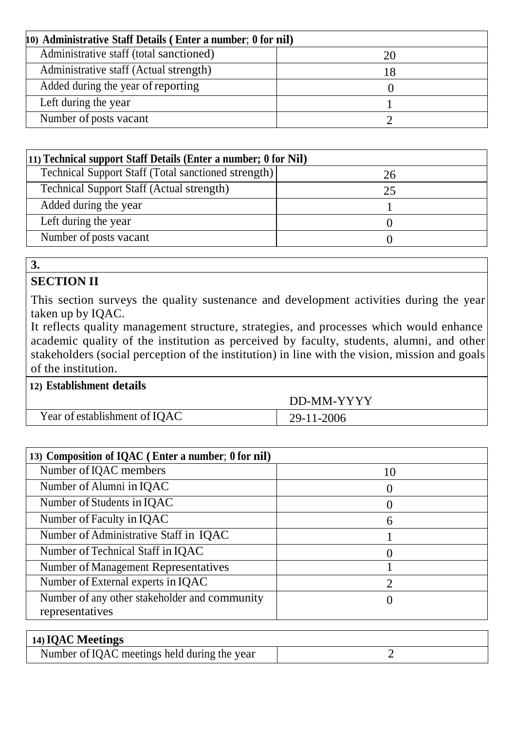| 10) Administrative Staff Details (Enter a number; 0 for nil) |    |
|--------------------------------------------------------------|----|
| Administrative staff (total sanctioned)                      |    |
| Administrative staff (Actual strength)                       | 18 |
| Added during the year of reporting                           |    |
| Left during the year                                         |    |
| Number of posts vacant                                       |    |

| (11) Technical support Staff Details (Enter a number; 0 for Nil) |    |  |
|------------------------------------------------------------------|----|--|
| Technical Support Staff (Total sanctioned strength)              | 26 |  |
| <b>Technical Support Staff (Actual strength)</b>                 | 25 |  |
| Added during the year                                            |    |  |
| Left during the year                                             |    |  |
| Number of posts vacant                                           |    |  |

# **SECTION II**

This section surveys the quality sustenance and development activities during the year taken up by IQAC.

It reflects quality management structure, strategies, and processes which would enhance academic quality of the institution as perceived by faculty, students, alumni, and other stakeholders (social perception of the institution) in line with the vision, mission and goals of the institution.

# **12) Establishment details**

Year of establishment of IQAC

DD-MM-YYYY

| HUAU | 29-11-2006 |
|------|------------|
|      |            |

| 13) Composition of IQAC (Enter a number; 0 for nil) |    |
|-----------------------------------------------------|----|
| Number of IQAC members                              | 10 |
| Number of Alumni in IQAC                            |    |
| Number of Students in IQAC                          |    |
| Number of Faculty in IQAC                           | 6  |
| Number of Administrative Staff in IQAC              |    |
| Number of Technical Staff in IQAC                   |    |
| <b>Number of Management Representatives</b>         |    |
| Number of External experts in IQAC                  |    |
| Number of any other stakeholder and community       |    |
| representatives                                     |    |

| 14) IQAC Meetings                            |  |
|----------------------------------------------|--|
| Number of IQAC meetings held during the year |  |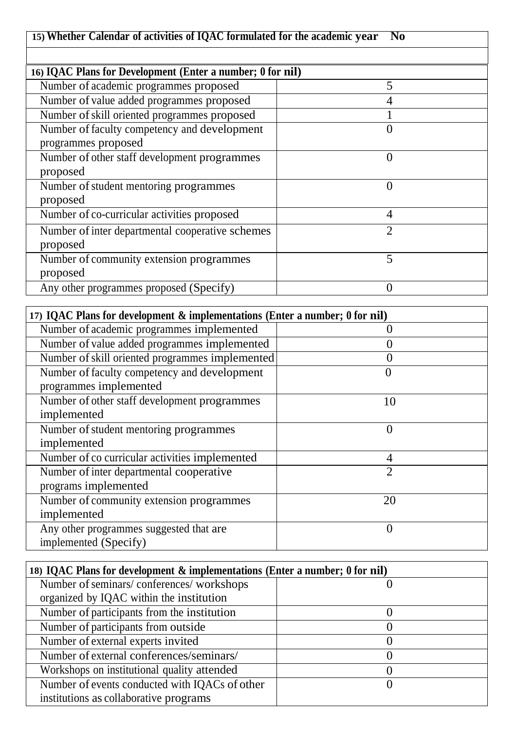# **15) Whether Calendar of activities of IQAC formulated for the academic year No**

| 16) IQAC Plans for Development (Enter a number; 0 for nil) |               |  |
|------------------------------------------------------------|---------------|--|
| Number of academic programmes proposed                     | 5             |  |
| Number of value added programmes proposed                  | 4             |  |
| Number of skill oriented programmes proposed               |               |  |
| Number of faculty competency and development               |               |  |
| programmes proposed                                        |               |  |
| Number of other staff development programmes               | $\Omega$      |  |
| proposed                                                   |               |  |
| Number of student mentoring programmes                     | 0             |  |
| proposed                                                   |               |  |
| Number of co-curricular activities proposed                | 4             |  |
| Number of inter departmental cooperative schemes           | $\mathcal{D}$ |  |
| proposed                                                   |               |  |
| Number of community extension programmes                   | 5             |  |
| proposed                                                   |               |  |
| Any other programmes proposed (Specify)                    | $\Omega$      |  |

| 17) IQAC Plans for development & implementations (Enter a number; 0 for nil) |                             |
|------------------------------------------------------------------------------|-----------------------------|
| Number of academic programmes implemented                                    |                             |
| Number of value added programmes implemented                                 |                             |
| Number of skill oriented programmes implemented                              |                             |
| Number of faculty competency and development                                 | $\left( \right)$            |
| programmes implemented                                                       |                             |
| Number of other staff development programmes                                 | 10                          |
| implemented                                                                  |                             |
| Number of student mentoring programmes                                       | $\theta$                    |
| implemented                                                                  |                             |
| Number of co curricular activities implemented                               | $\overline{4}$              |
| Number of inter departmental cooperative                                     | $\mathcal{D}_{\mathcal{A}}$ |
| programs implemented                                                         |                             |
| Number of community extension programmes                                     | 20                          |
| implemented                                                                  |                             |
| Any other programmes suggested that are                                      | $\Omega$                    |
| implemented (Specify)                                                        |                             |

| 18) IQAC Plans for development & implementations (Enter a number; 0 for nil) |  |
|------------------------------------------------------------------------------|--|
| Number of seminars/conferences/workshops                                     |  |
| organized by IQAC within the institution                                     |  |
| Number of participants from the institution                                  |  |
| Number of participants from outside                                          |  |
| Number of external experts invited                                           |  |
| Number of external conferences/seminars/                                     |  |
| Workshops on institutional quality attended                                  |  |
| Number of events conducted with IQACs of other                               |  |
| institutions as collaborative programs                                       |  |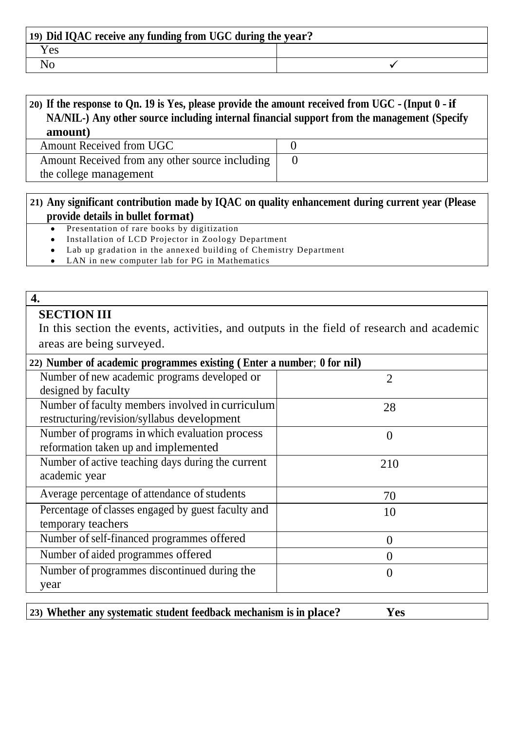| 19) Did IQAC receive any funding from UGC during the year? |  |
|------------------------------------------------------------|--|
| r es                                                       |  |
|                                                            |  |

# 20) If the response to Qn. 19 is Yes, please provide the amount received from UGC - (Input 0 - if **NA/NIL-) Any other source including internal financial support from the management (Specify amount)**

Amount Received from UGC 0 Amount Received from any other source including the college management

# 0

# **21) Any significant contribution made by IQAC on quality enhancement during current year (Please provide details in bullet format)**

- Presentation of rare books by digitization  $\bullet$
- Installation of LCD Projector in Zoology Department
- Lab up gradation in the annexed building of Chemistry Department
- LAN in new computer lab for PG in Mathematics

#### **4.**

# **SECTION III**

In this section the events, activities, and outputs in the field of research and academic areas are being surveyed.

| 22) Number of academic programmes existing (Enter a number; 0 for nil) |                |
|------------------------------------------------------------------------|----------------|
| Number of new academic programs developed or                           | $\overline{2}$ |
| designed by faculty                                                    |                |
| Number of faculty members involved in curriculum                       | 28             |
| restructuring/revision/syllabus development                            |                |
| Number of programs in which evaluation process                         | $\theta$       |
| reformation taken up and implemented                                   |                |
| Number of active teaching days during the current                      | 210            |
| academic year                                                          |                |
| Average percentage of attendance of students                           | 70             |
| Percentage of classes engaged by guest faculty and                     | 10             |
| temporary teachers                                                     |                |
| Number of self-financed programmes offered                             | $\theta$       |
| Number of aided programmes offered                                     | $\Omega$       |
| Number of programmes discontinued during the                           | $\theta$       |
| year                                                                   |                |

| [23] Whether any systematic student feedback mechanism is in place? | Yes |
|---------------------------------------------------------------------|-----|
|---------------------------------------------------------------------|-----|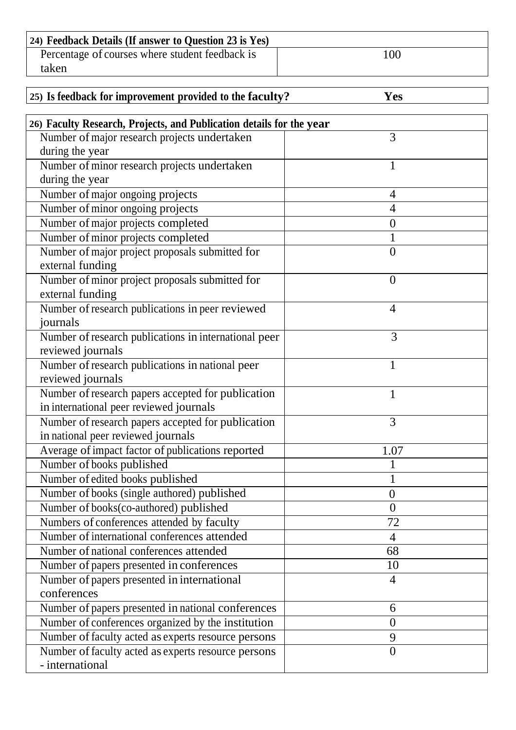| 24) Feedback Details (If answer to Question 23 is Yes) |     |
|--------------------------------------------------------|-----|
| Percentage of courses where student feedback is        | 100 |
| taken                                                  |     |

| 25) Is feedback for improvement provided to the faculty?             | Yes            |
|----------------------------------------------------------------------|----------------|
| 26) Faculty Research, Projects, and Publication details for the year |                |
| Number of major research projects undertaken                         | 3              |
| during the year                                                      |                |
| Number of minor research projects undertaken                         |                |
| during the year                                                      |                |
| Number of major ongoing projects                                     | 4              |
| Number of minor ongoing projects                                     | $\overline{4}$ |
| Number of major projects completed                                   | $\overline{0}$ |
| Number of minor projects completed                                   |                |
| Number of major project proposals submitted for                      | $\overline{0}$ |
| external funding                                                     |                |
| Number of minor project proposals submitted for                      | $\overline{0}$ |
| external funding                                                     |                |
| Number of research publications in peer reviewed                     | $\overline{4}$ |
| journals                                                             |                |
| Number of research publications in international peer                | 3              |
| reviewed journals                                                    |                |
| Number of research publications in national peer                     | $\mathbf{1}$   |
| reviewed journals                                                    |                |
| Number of research papers accepted for publication                   | $\mathbf{1}$   |
| in international peer reviewed journals                              |                |
| Number of research papers accepted for publication                   | 3              |
| in national peer reviewed journals                                   |                |
| Average of impact factor of publications reported                    | 1.07           |
| Number of books published                                            |                |
| Number of edited books published                                     |                |
| Number of books (single authored) published                          | $\overline{0}$ |
| Number of books(co-authored) published                               | $\theta$       |
| Numbers of conferences attended by faculty                           | 72             |
| Number of international conferences attended                         | 4              |

Number of national conferences attended 68 Number of papers presented in conferences 10

Number of papers presented in national conferences 6 Number of conferences organized by the institution 0 Number of faculty acted as experts resource persons 9

4

 $\Omega$ 

Number of papers presented in international

Number offaculty acted as experts resource persons

conferences

- international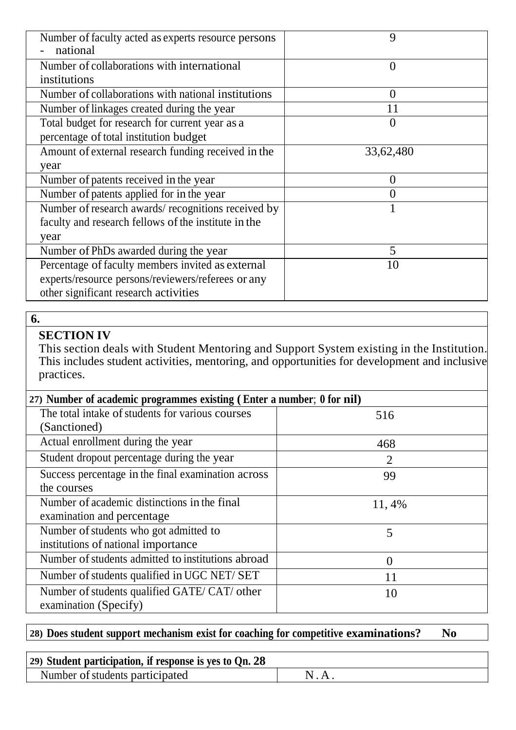| Number of faculty acted as experts resource persons<br>national | 9             |
|-----------------------------------------------------------------|---------------|
| Number of collaborations with international                     | $\theta$      |
| institutions                                                    |               |
| Number of collaborations with national institutions             | $\mathcal{O}$ |
| Number of linkages created during the year                      | 11            |
| Total budget for research for current year as a                 |               |
| percentage of total institution budget                          |               |
| Amount of external research funding received in the             | 33,62,480     |
| year                                                            |               |
| Number of patents received in the year                          | 0             |
| Number of patents applied for in the year                       |               |
| Number of research awards/recognitions received by              |               |
| faculty and research fellows of the institute in the            |               |
| year                                                            |               |
| Number of PhDs awarded during the year                          | 5             |
| Percentage of faculty members invited as external               | 10            |
| experts/resource persons/reviewers/referees or any              |               |
| other significant research activities                           |               |

# **SECTION IV**

This section deals with Student Mentoring and Support System existing in the Institution. This includes student activities, mentoring, and opportunities for development and inclusive practices.

| 27) Number of academic programmes existing (Enter a number; 0 for nil) |                |
|------------------------------------------------------------------------|----------------|
| The total intake of students for various courses                       | 516            |
| (Sanctioned)                                                           |                |
| Actual enrollment during the year                                      | 468            |
| Student dropout percentage during the year                             | $\overline{2}$ |
| Success percentage in the final examination across                     | 99             |
| the courses                                                            |                |
| Number of academic distinctions in the final                           | 11, 4%         |
| examination and percentage                                             |                |
| Number of students who got admitted to                                 | 5              |
| institutions of national importance                                    |                |
| Number of students admitted to institutions abroad                     | $\Omega$       |
| Number of students qualified in UGC NET/ SET                           | 11             |
| Number of students qualified GATE/ CAT/ other                          | 10             |
| examination (Specify)                                                  |                |

# **28) Does student support mechanism exist for coaching for competitive examinations? No**

| (29) Student participation, if response is yes to $Qn$ , 28 |  |
|-------------------------------------------------------------|--|
| Number of students participated                             |  |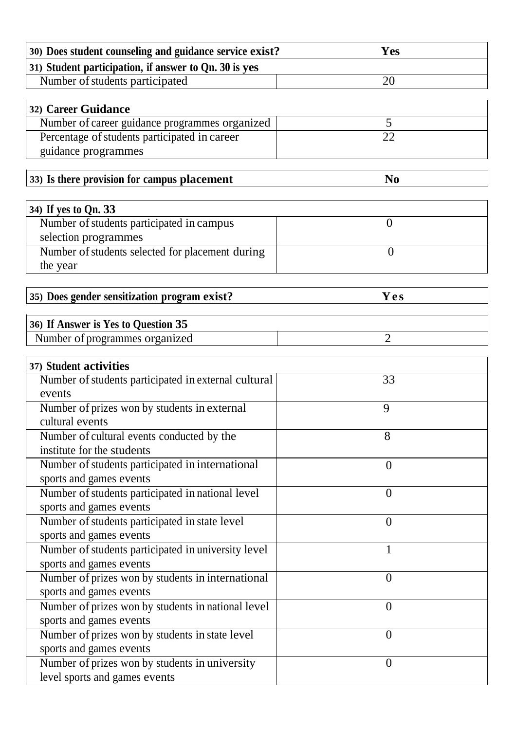| 30) Does student counseling and guidance service exist? | Yes            |
|---------------------------------------------------------|----------------|
| 31) Student participation, if answer to Qn. 30 is yes   |                |
| Number of students participated                         | 20             |
|                                                         |                |
| 32) Career Guidance                                     |                |
| Number of career guidance programmes organized          | 5              |
| Percentage of students participated in career           | 22             |
| guidance programmes                                     |                |
|                                                         |                |
| 33) Is there provision for campus placement             | N <sub>0</sub> |
|                                                         |                |
| 34) If yes to Qn. 33                                    |                |
| Number of students participated in campus               | $\overline{0}$ |
| selection programmes                                    |                |
| Number of students selected for placement during        | $\overline{0}$ |
| the year                                                |                |
|                                                         |                |
| 35) Does gender sensitization program exist?            | Yes            |
|                                                         |                |
| 36) If Answer is Yes to Question 35                     |                |
| Number of programmes organized                          | $\overline{2}$ |
| 37) Student activities                                  |                |
| Number of students participated in external cultural    | 33             |
| events                                                  |                |
| Number of prizes won by students in external            | 9              |
| cultural events                                         |                |
| Number of cultural events conducted by the              | 8              |
| institute for the students                              |                |
| Number of students participated in international        | $\overline{0}$ |
| sports and games events                                 |                |
| Number of students participated in national level       | $\theta$       |
| sports and games events                                 |                |
| Number of students participated in state level          | $\overline{0}$ |
| sports and games events                                 |                |
| Number of students participated in university level     | 1              |
| sports and games events                                 |                |
| Number of prizes won by students in international       | $\theta$       |
| sports and games events                                 |                |
| Number of prizes won by students in national level      | $\theta$       |
| sports and games events                                 |                |
| Number of prizes won by students in state level         | $\overline{0}$ |
| sports and games events                                 |                |
| Number of prizes won by students in university          | $\overline{0}$ |
| level sports and games events                           |                |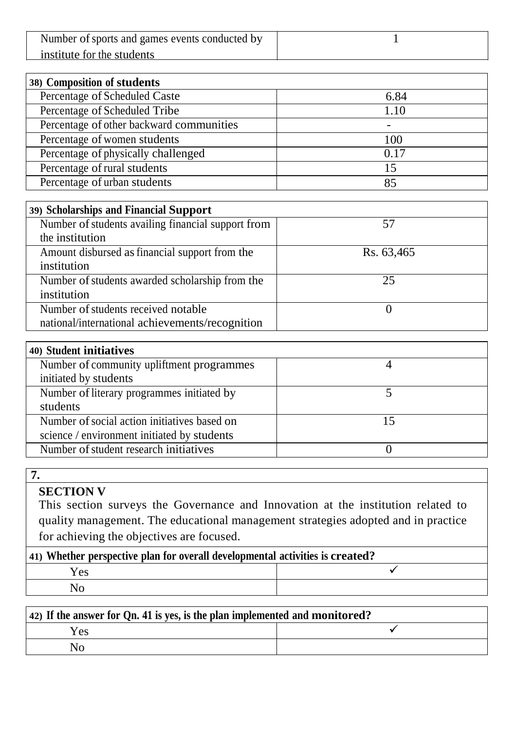| Number of sports and games events conducted by |  |
|------------------------------------------------|--|
| institute for the students                     |  |

| 38) Composition of students              |      |  |
|------------------------------------------|------|--|
| Percentage of Scheduled Caste            | 6.84 |  |
| Percentage of Scheduled Tribe            | 1.10 |  |
| Percentage of other backward communities |      |  |
| Percentage of women students             | 100  |  |
| Percentage of physically challenged      | 0.17 |  |
| Percentage of rural students             | 15   |  |
| Percentage of urban students             | 85   |  |

| 39) Scholarships and Financial Support             |            |
|----------------------------------------------------|------------|
| Number of students availing financial support from | 57         |
| the institution                                    |            |
| Amount disbursed as financial support from the     | Rs. 63,465 |
| institution                                        |            |
| Number of students awarded scholarship from the    | 25         |
| institution                                        |            |
| Number of students received notable                |            |
| national/international achievements/recognition    |            |

| 40) Student initiatives |  |  |
|-------------------------|--|--|
|                         |  |  |
|                         |  |  |
|                         |  |  |
|                         |  |  |
|                         |  |  |
|                         |  |  |
|                         |  |  |
|                         |  |  |

# **SECTION V**

This section surveys the Governance and Innovation at the institution related to quality management. The educational management strategies adopted and in practice for achieving the objectives are focused.

| [41] Whether perspective plan for overall developmental activities is created? |  |  |
|--------------------------------------------------------------------------------|--|--|
| Yes                                                                            |  |  |
|                                                                                |  |  |

| $\vert$ 42) If the answer for Qn. 41 is yes, is the plan implemented and monitored? |  |  |
|-------------------------------------------------------------------------------------|--|--|
| Yes                                                                                 |  |  |
| No                                                                                  |  |  |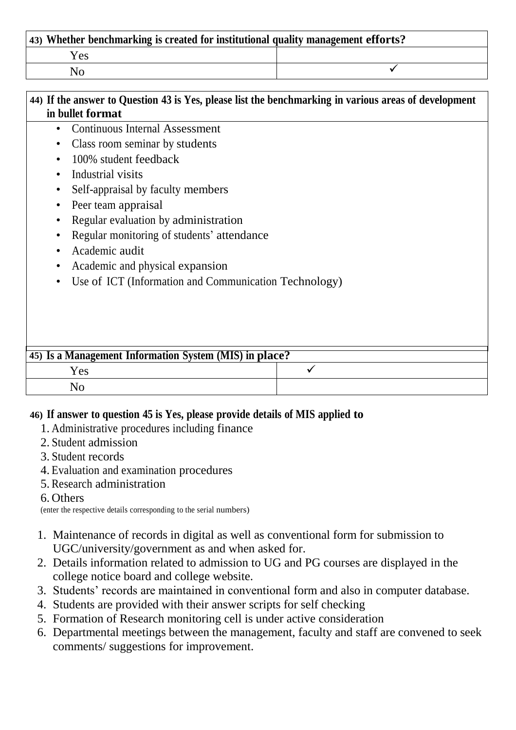| 43) Whether benchmarking is created for institutional quality management efforts? |  |  |
|-----------------------------------------------------------------------------------|--|--|
| Yes.                                                                              |  |  |
|                                                                                   |  |  |

| 44) If the answer to Question 43 is Yes, please list the benchmarking in various areas of development<br>in bullet format |                                                                                                      |   |  |
|---------------------------------------------------------------------------------------------------------------------------|------------------------------------------------------------------------------------------------------|---|--|
| ٠<br>$\bullet$                                                                                                            | <b>Continuous Internal Assessment</b><br>Class room seminar by students<br>100% student feedback     |   |  |
| $\bullet$<br>$\bullet$<br>$\bullet$                                                                                       | Industrial visits<br>Self-appraisal by faculty members<br>Peer team appraisal                        |   |  |
| ٠<br>$\bullet$                                                                                                            | Regular evaluation by administration<br>Regular monitoring of students' attendance<br>Academic audit |   |  |
|                                                                                                                           | Academic and physical expansion<br>Use of ICT (Information and Communication Technology)             |   |  |
|                                                                                                                           |                                                                                                      |   |  |
|                                                                                                                           | 45) Is a Management Information System (MIS) in place?<br>Yes<br>N <sub>o</sub>                      | ✓ |  |

## **46) If answer to question 45 is Yes, please provide details of MIS applied to**

- 1. Administrative procedures including finance
- 2. Student admission
- 3. Student records
- 4. Evaluation and examination procedures
- 5. Research administration

## 6. Others

(enter the respective details corresponding to the serial numbers)

- 1. Maintenance of records in digital as well as conventional form for submission to UGC/university/government as and when asked for.
- 2. Details information related to admission to UG and PG courses are displayed in the college notice board and college website.
- 3. Students' records are maintained in conventional form and also in computer database.
- 4. Students are provided with their answer scripts for self checking
- 5. Formation of Research monitoring cell is under active consideration
- 6. Departmental meetings between the management, faculty and staff are convened to seek comments/ suggestions for improvement.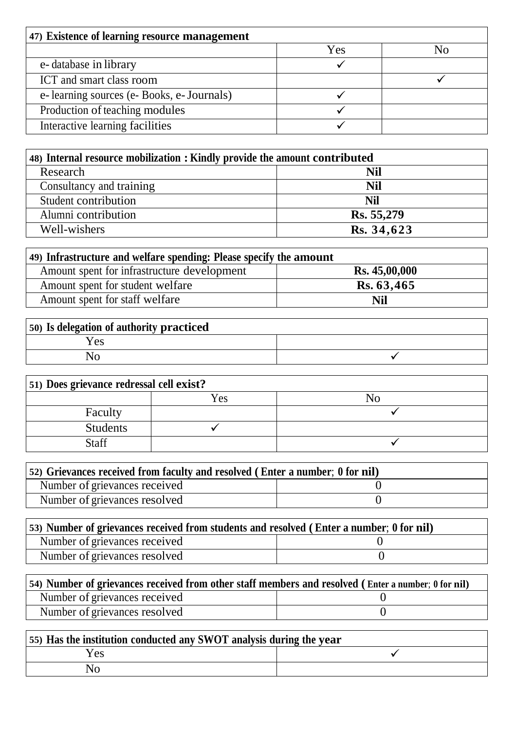| 47) Existence of learning resource management |     |  |
|-----------------------------------------------|-----|--|
|                                               | Yes |  |
| e-database in library                         |     |  |
| ICT and smart class room                      |     |  |
| e-learning sources (e-Books, e-Journals)      |     |  |
| Production of teaching modules                |     |  |
| Interactive learning facilities               |     |  |

| 48) Internal resource mobilization : Kindly provide the amount contributed |            |  |
|----------------------------------------------------------------------------|------------|--|
| Research                                                                   | Nil        |  |
| Consultancy and training                                                   | Nil        |  |
| Student contribution                                                       | <b>Nil</b> |  |
| Alumni contribution                                                        | Rs. 55,279 |  |
| Well-wishers                                                               | Rs. 34,623 |  |

| 49) Infrastructure and welfare spending: Please specify the amount |                      |  |
|--------------------------------------------------------------------|----------------------|--|
| Amount spent for infrastructure development                        | <b>Rs. 45,00,000</b> |  |
| Amount spent for student welfare                                   | Rs. 63,465           |  |
| Amount spent for staff welfare                                     | <b>Nil</b>           |  |

| 50) Is delegation of authority practiced |  |
|------------------------------------------|--|
| $Y_{ES}$                                 |  |
|                                          |  |

| (51) Does grievance redressal cell exist? |     |    |
|-------------------------------------------|-----|----|
|                                           | Yes | NC |
| Faculty                                   |     |    |
| <b>Students</b>                           |     |    |
| <b>Staff</b>                              |     |    |

| 52) Grievances received from faculty and resolved (Enter a number; 0 for nil) |  |
|-------------------------------------------------------------------------------|--|
| Number of grievances received                                                 |  |
| Number of grievances resolved                                                 |  |

| (53) Number of grievances received from students and resolved (Enter a number; 0 for nil) |  |
|-------------------------------------------------------------------------------------------|--|
| Number of grievances received                                                             |  |
| Number of grievances resolved                                                             |  |

| 54) Number of grievances received from other staff members and resolved (Enter a number; 0 for nil) |  |  |
|-----------------------------------------------------------------------------------------------------|--|--|
| Number of grievances received                                                                       |  |  |
| Number of grievances resolved                                                                       |  |  |

| 55) Has the institution conducted any SWOT analysis during the year |  |
|---------------------------------------------------------------------|--|
| Yes                                                                 |  |
| No                                                                  |  |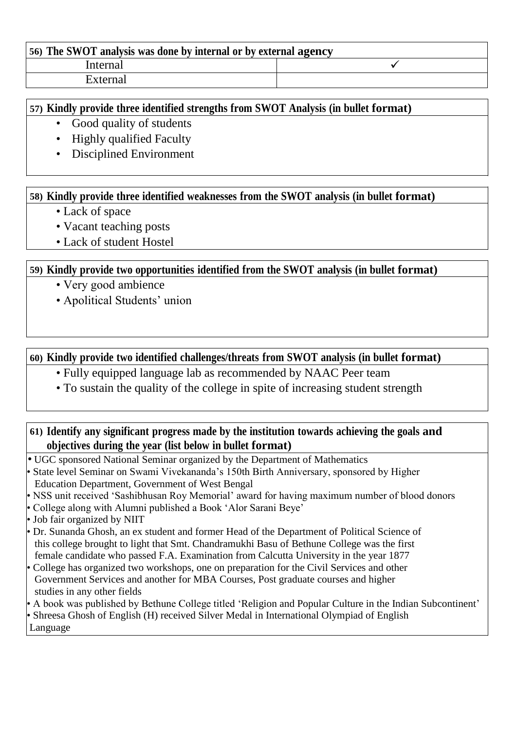| 56) The SWOT analysis was done by internal or by external agency |  |  |
|------------------------------------------------------------------|--|--|
| Internal                                                         |  |  |
| External                                                         |  |  |

#### **57) Kindly provide three identified strengths from SWOT Analysis (in bullet format)**

- Good quality of students
- Highly qualified Faculty
- Disciplined Environment

#### **58) Kindly provide three identified weaknesses from the SWOT analysis (in bullet format)**

- Lack of space
- Vacant teaching posts
- Lack of student Hostel

## **59) Kindly provide two opportunities identified from the SWOT analysis (in bullet format)**

- Very good ambience
- Apolitical Students' union

# **60) Kindly provide two identified challenges/threats from SWOT analysis (in bullet format)**

- Fully equipped language lab as recommended by NAAC Peer team
- To sustain the quality of the college in spite of increasing student strength

## **61) Identify any significant progress made by the institution towards achieving the goals and objectives during the year (list below in bullet format)**

- UGC sponsored National Seminar organized by the Department of Mathematics
- State level Seminar on Swami Vivekananda's 150th Birth Anniversary, sponsored by Higher Education Department, Government of West Bengal
- NSS unit received 'Sashibhusan Roy Memorial' award for having maximum number of blood donors
- College along with Alumni published a Book 'Alor Sarani Beye'
- Job fair organized by NIIT
- Dr. Sunanda Ghosh, an ex student and former Head of the Department of Political Science of this college brought to light that Smt. Chandramukhi Basu of Bethune College was the first female candidate who passed F.A. Examination from Calcutta University in the year 1877
- College has organized two workshops, one on preparation for the Civil Services and other Government Services and another for MBA Courses, Post graduate courses and higher studies in any other fields
- A book was published by Bethune College titled 'Religion and Popular Culture in the Indian Subcontinent'
- Shreesa Ghosh of English (H) received Silver Medal in International Olympiad of English

Language